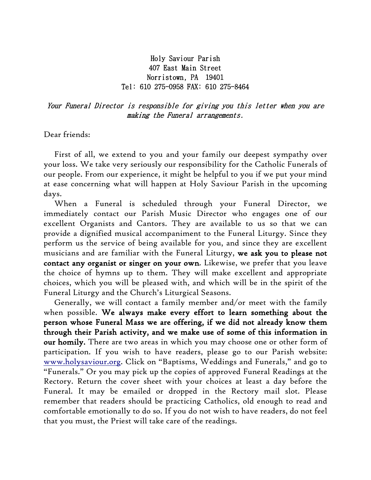## Holy Saviour Parish 407 East Main Street Norristown, PA 19401 Tel: 610 275-0958 FAX: 610 275-8464

Your Funeral Director is responsible for giving you this letter when you are making the Funeral arrangements.

Dear friends:

 First of all, we extend to you and your family our deepest sympathy over your loss. We take very seriously our responsibility for the Catholic Funerals of our people. From our experience, it might be helpful to you if we put your mind at ease concerning what will happen at Holy Saviour Parish in the upcoming days.

 When a Funeral is scheduled through your Funeral Director, we immediately contact our Parish Music Director who engages one of our excellent Organists and Cantors. They are available to us so that we can provide a dignified musical accompaniment to the Funeral Liturgy. Since they perform us the service of being available for you, and since they are excellent musicians and are familiar with the Funeral Liturgy, we ask you to please not contact any organist or singer on your own. Likewise, we prefer that you leave the choice of hymns up to them. They will make excellent and appropriate choices, which you will be pleased with, and which will be in the spirit of the Funeral Liturgy and the Church's Liturgical Seasons.

 Generally, we will contact a family member and/or meet with the family when possible. We always make every effort to learn something about the person whose Funeral Mass we are offering, if we did not already know them through their Parish activity, and we make use of some of this information in our homily. There are two areas in which you may choose one or other form of participation. If you wish to have readers, please go to our Parish website: [www.holysaviour.org.](http://www.holysaviour.org/) Click on "Baptisms, Weddings and Funerals," and go to "Funerals." Or you may pick up the copies of approved Funeral Readings at the Rectory. Return the cover sheet with your choices at least a day before the Funeral. It may be emailed or dropped in the Rectory mail slot. Please remember that readers should be practicing Catholics, old enough to read and comfortable emotionally to do so. If you do not wish to have readers, do not feel that you must, the Priest will take care of the readings.